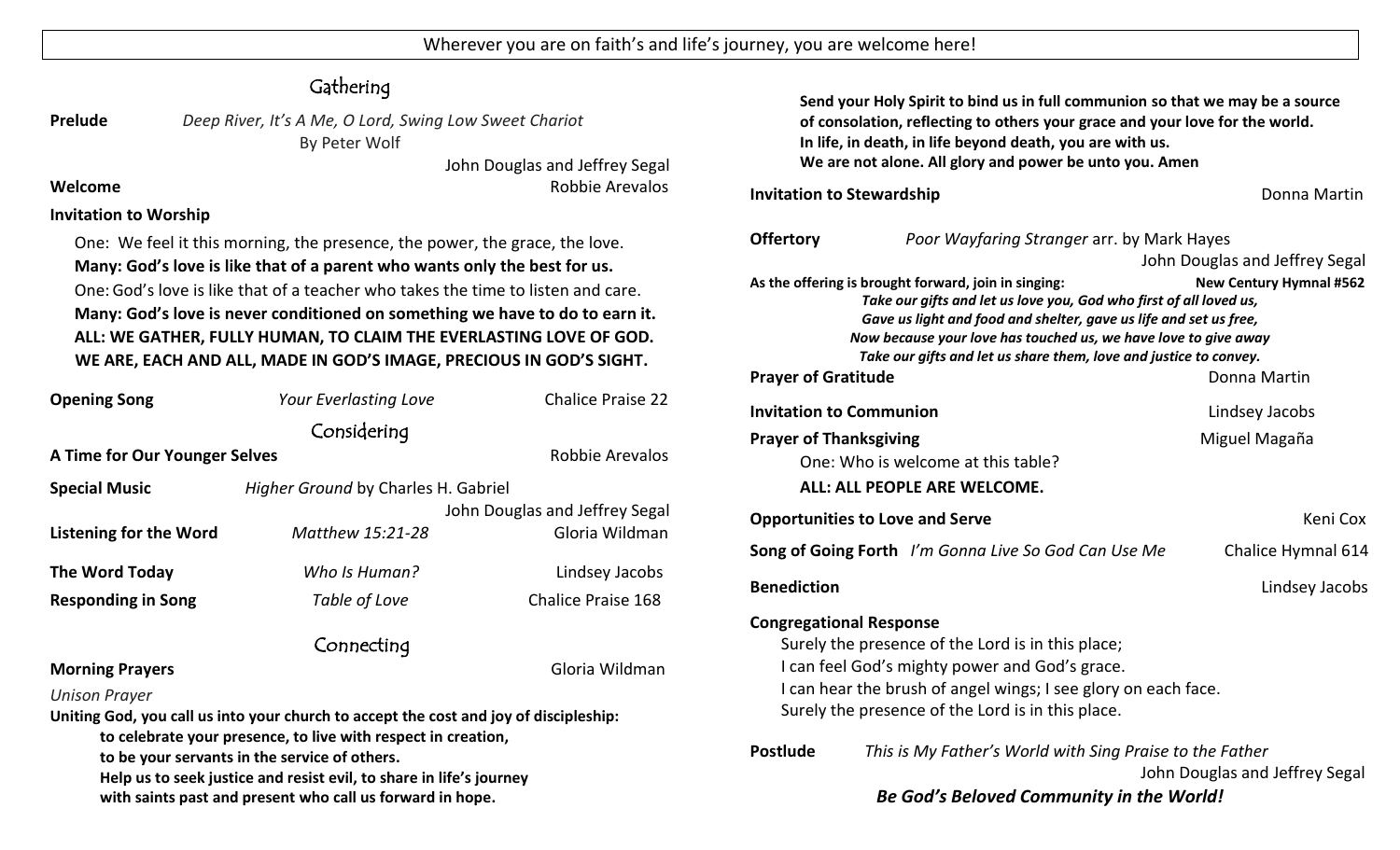# **Gathering**

**Prelude** *Deep River, It's A Me, O Lord, Swing Low Sweet Chariot* By Peter Wolf

John Douglas and Jeffrey Segal **Welcome Robbie Arevalos Robbie Arevalos Robbie Arevalos** 

#### **Invitation to Worship**

One: We feel it this morning, the presence, the power, the grace, the love. **Many: God's love is like that of a parent who wants only the best for us.** One:God's love is like that of a teacher who takes the time to listen and care. **Many: God's love is never conditioned on something we have to do to earn it. ALL: WE GATHER, FULLY HUMAN, TO CLAIM THE EVERLASTING LOVE OF GOD. WE ARE, EACH AND ALL, MADE IN GOD'S IMAGE, PRECIOUS IN GOD'S SIGHT.**

| <b>Opening Song</b>                                                                   | Your Everlasting Love               | <b>Chalice Praise 22</b>       |  |  |
|---------------------------------------------------------------------------------------|-------------------------------------|--------------------------------|--|--|
|                                                                                       | Considering                         |                                |  |  |
| A Time for Our Younger Selves                                                         |                                     | Robbie Arevalos                |  |  |
| <b>Special Music</b>                                                                  | Higher Ground by Charles H. Gabriel |                                |  |  |
|                                                                                       |                                     | John Douglas and Jeffrey Segal |  |  |
| Listening for the Word                                                                | Matthew 15:21-28                    | Gloria Wildman                 |  |  |
| The Word Today                                                                        | Who Is Human?                       | Lindsey Jacobs                 |  |  |
| <b>Responding in Song</b>                                                             | Table of Love                       | <b>Chalice Praise 168</b>      |  |  |
| Connecting                                                                            |                                     |                                |  |  |
| <b>Morning Prayers</b>                                                                |                                     | Gloria Wildman                 |  |  |
| <b>Unison Prayer</b>                                                                  |                                     |                                |  |  |
| Uniting God, you call us into your church to accept the cost and joy of discipleship: |                                     |                                |  |  |
| to celebrate your presence, to live with respect in creation,                         |                                     |                                |  |  |

**to be your servants in the service of others.**

**Help us to seek justice and resist evil, to share in life's journey** 

**with saints past and present who call us forward in hope.**

**Send your Holy Spirit to bind us in full communion so that we may be a source of consolation, reflecting to others your grace and your love for the world. In life, in death, in life beyond death, you are with us. We are not alone. All glory and power be unto you. Amen**

#### **Invitation to Stewardship Donna Martin Donna Martin**

| <b>Offertory</b>                                                                                                                                                                                                                                                                                                                                                          | Poor Wayfaring Stranger arr. by Mark Hayes                  |                                |  |
|---------------------------------------------------------------------------------------------------------------------------------------------------------------------------------------------------------------------------------------------------------------------------------------------------------------------------------------------------------------------------|-------------------------------------------------------------|--------------------------------|--|
|                                                                                                                                                                                                                                                                                                                                                                           |                                                             | John Douglas and Jeffrey Segal |  |
| As the offering is brought forward, join in singing:<br><b>New Century Hymnal #562</b><br>Take our gifts and let us love you, God who first of all loved us,<br>Gave us light and food and shelter, gave us life and set us free,<br>Now because your love has touched us, we have love to give away<br>Take our gifts and let us share them, love and justice to convey. |                                                             |                                |  |
| <b>Prayer of Gratitude</b>                                                                                                                                                                                                                                                                                                                                                |                                                             | Donna Martin                   |  |
| <b>Invitation to Communion</b>                                                                                                                                                                                                                                                                                                                                            |                                                             | Lindsey Jacobs                 |  |
| <b>Prayer of Thanksgiving</b>                                                                                                                                                                                                                                                                                                                                             |                                                             | Miguel Magaña                  |  |
|                                                                                                                                                                                                                                                                                                                                                                           | One: Who is welcome at this table?                          |                                |  |
|                                                                                                                                                                                                                                                                                                                                                                           | ALL: ALL PEOPLE ARE WELCOME.                                |                                |  |
|                                                                                                                                                                                                                                                                                                                                                                           | <b>Opportunities to Love and Serve</b>                      | Keni Cox                       |  |
|                                                                                                                                                                                                                                                                                                                                                                           | <b>Song of Going Forth</b> I'm Gonna Live So God Can Use Me | Chalice Hymnal 614             |  |
| <b>Benediction</b>                                                                                                                                                                                                                                                                                                                                                        |                                                             | Lindsey Jacobs                 |  |
| <b>Congregational Response</b><br>Surely the presence of the Lord is in this place;<br>I can feel God's mighty power and God's grace.<br>I can hear the brush of angel wings; I see glory on each face.<br>Surely the presence of the Lord is in this place.                                                                                                              |                                                             |                                |  |
| <b>Postlude</b><br>This is My Father's World with Sing Praise to the Father<br>John Douglas and Jeffrey Segal<br>Be God's Beloved Community in the World!                                                                                                                                                                                                                 |                                                             |                                |  |